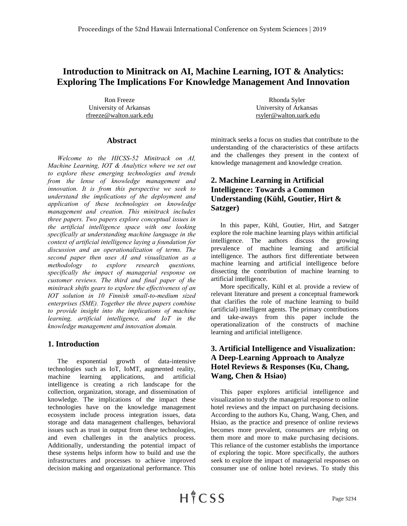# **Introduction to Minitrack on AI, Machine Learning, IOT & Analytics: Exploring The Implications For Knowledge Management And Innovation**

Ron Freeze University of Arkansas rfreeze@walton.uark.edu

#### **Abstract**

*Welcome to the HICSS-52 Minitrack on AI, Machine Learning, IOT & Analytics where we set out to explore these emerging technologies and trends from the lense of knowledge management and innovation. It is from this perspective we seek to understand the implications of the deployment and application of these technologies on knowledge management and creation. This minitrack includes three papers. Two papers explore conceptual issues in the artificial intelligence space with one looking specifically at understanding machine language in the context of artificial intelligence laying a foundation for discussion and an operationalization of terms. The second paper then uses AI and visualization as a methodology to explore research questions, specifically the impact of managerial response on customer reviews. The third and final paper of the minitrack shifts gears to explore the effectiveness of an IOT solution in 10 Finnish small-to-medium sized enterprises (SME). Together the three papers combine to provide insight into the implications of machine learning, artificial intelligence, and IoT in the knowledge management and innovation domain.* 

#### **1. Introduction**

The exponential growth of data-intensive technologies such as IoT, IoMT, augmented reality, machine learning applications, and artificial intelligence is creating a rich landscape for the collection, organization, storage, and dissemination of knowledge. The implications of the impact these technologies have on the knowledge management ecosystem include process integration issues, data storage and data management challenges, behavioral issues such as trust in output from these technologies, and even challenges in the analytics process. Additionally, understanding the potential impact of these systems helps inform how to build and use the infrastructures and processes to achieve improved decision making and organizational performance. This

Rhonda Syler University of Arkansas rsyler@walton.uark.edu

minitrack seeks a focus on studies that contribute to the understanding of the characteristics of these artifacts and the challenges they present in the context of knowledge management and knowledge creation.

# **2. Machine Learning in Artificial Intelligence: Towards a Common Understanding (Kühl, Goutier, Hirt & Satzger)**

In this paper, Kühl, Goutier, Hirt, and Satzger explore the role machine learning plays within artificial intelligence. The authors discuss the growing prevalence of machine learning and artificial intelligence. The authors first differentiate between machine learning and artificial intelligence before dissecting the contribution of machine learning to artificial intelligence.

More specifically, Kühl et al. provide a review of relevant literature and present a conceptual framework that clarifies the role of machine learning to build (artificial) intelligent agents. The primary contributions and take-aways from this paper include the operationalization of the constructs of machine learning and artificial intelligence.

### **3. Artificial Intelligence and Visualization: A Deep-Learning Approach to Analyze Hotel Reviews & Responses (Ku, Chang, Wang, Chen & Hsiao)**

This paper explores artificial intelligence and visualization to study the managerial response to online hotel reviews and the impact on purchasing decisions. According to the authors Ku, Chang, Wang, Chen, and Hsiao, as the practice and presence of online reviews becomes more prevalent, consumers are relying on them more and more to make purchasing decisions. This reliance of the customer establishs the importance of exploring the topic. More specifically, the authors seek to explore the impact of managerial responses on consumer use of online hotel reviews. To study this